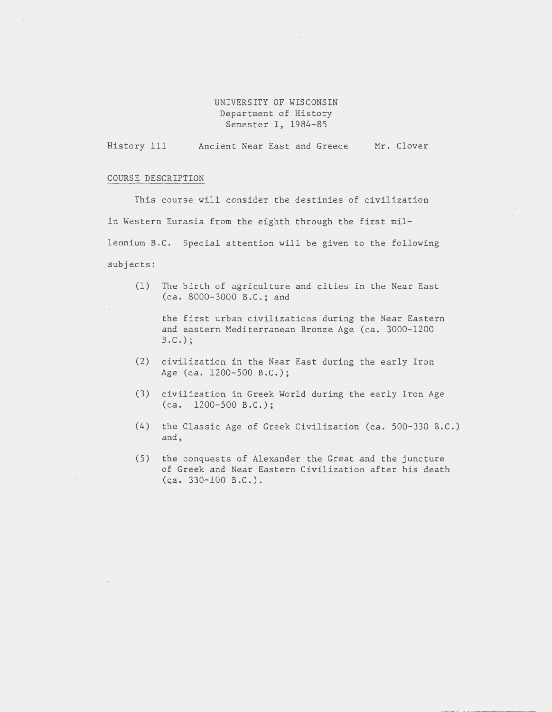# UNIVERSITY OF WISCONSIN Department of History Semester I, 1984-85

History 111 Ancient Near East and Greece Mr. Clover

### COURSE DESCRIPTION

This course will consider the destinies of civilization in Western Eurasia from the eighth through the first millennium B.C. Special attention will be given to the following subjects:

(1) The birth of agriculture and cities in the Near East (ca. 8000-3000 B.C.; and

the first urban civilizations during the Near Eastern and eastern Mediterranean Bronze Age (ca. 3000-1200 B.C.);

- (2) civilization in the Near East during the early Iron Age (ca. 1200-500 B.C.);
- (3) civilization in Greek World during the early Iron Age (ca. 1200-500 B.C.);
- (4) the Classic Age of Greek Civilization (ca. 500-330 B.C.) and,
- (5) the conquests of Alexander the Great and the juncture of Greek and Near Eastern Civilization after his death  $(ca. 330-100 B.C.).$